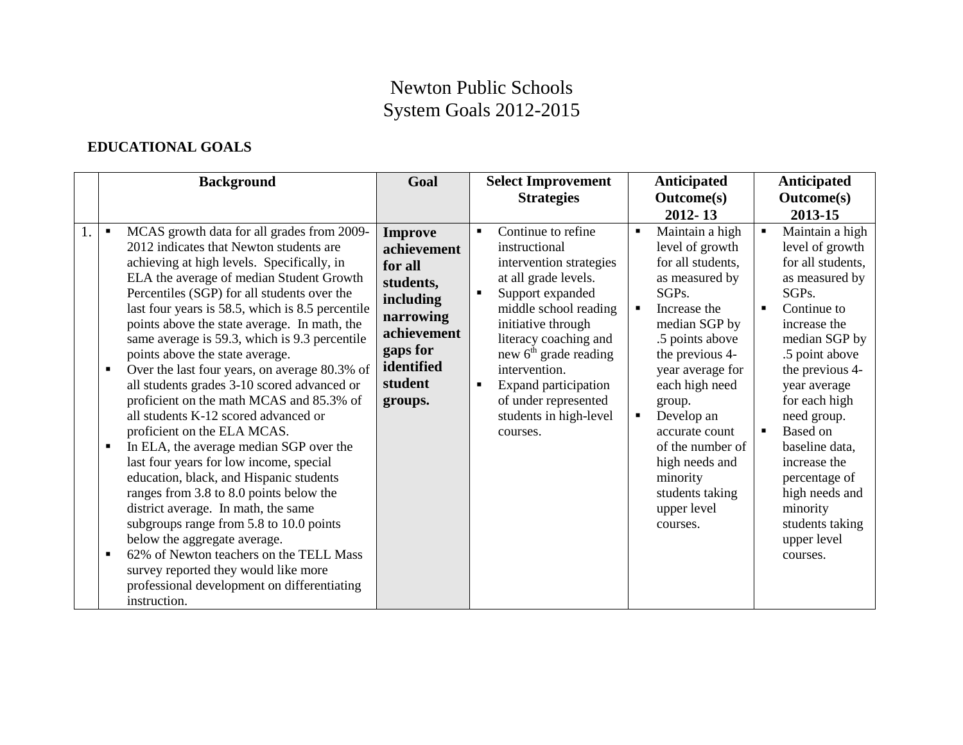## Newton Public Schools System Goals 2012-2015

## **EDUCATIONAL GOALS**

|    | <b>Background</b>                                                                                                                                                                                                                                                                                                                                                                                                                                                                                                                                                                                                                                                                                                                                                                                                                                                                                                                                                                                                                                                                              | Goal                                                                                                                                           | <b>Select Improvement</b>                                                                                                                                                                                                                                                                                                                     | <b>Anticipated</b>                                                                                                                                                                                                                                                                                                                                                                                | Anticipated                                                                                                                                                                                                                                                                                                                                                                                     |
|----|------------------------------------------------------------------------------------------------------------------------------------------------------------------------------------------------------------------------------------------------------------------------------------------------------------------------------------------------------------------------------------------------------------------------------------------------------------------------------------------------------------------------------------------------------------------------------------------------------------------------------------------------------------------------------------------------------------------------------------------------------------------------------------------------------------------------------------------------------------------------------------------------------------------------------------------------------------------------------------------------------------------------------------------------------------------------------------------------|------------------------------------------------------------------------------------------------------------------------------------------------|-----------------------------------------------------------------------------------------------------------------------------------------------------------------------------------------------------------------------------------------------------------------------------------------------------------------------------------------------|---------------------------------------------------------------------------------------------------------------------------------------------------------------------------------------------------------------------------------------------------------------------------------------------------------------------------------------------------------------------------------------------------|-------------------------------------------------------------------------------------------------------------------------------------------------------------------------------------------------------------------------------------------------------------------------------------------------------------------------------------------------------------------------------------------------|
|    |                                                                                                                                                                                                                                                                                                                                                                                                                                                                                                                                                                                                                                                                                                                                                                                                                                                                                                                                                                                                                                                                                                |                                                                                                                                                | <b>Strategies</b>                                                                                                                                                                                                                                                                                                                             | <b>Outcome(s)</b>                                                                                                                                                                                                                                                                                                                                                                                 | <b>Outcome(s)</b>                                                                                                                                                                                                                                                                                                                                                                               |
| 1. | MCAS growth data for all grades from 2009-<br>2012 indicates that Newton students are<br>achieving at high levels. Specifically, in<br>ELA the average of median Student Growth<br>Percentiles (SGP) for all students over the<br>last four years is 58.5, which is 8.5 percentile<br>points above the state average. In math, the<br>same average is 59.3, which is 9.3 percentile<br>points above the state average.<br>Over the last four years, on average 80.3% of<br>all students grades 3-10 scored advanced or<br>proficient on the math MCAS and 85.3% of<br>all students K-12 scored advanced or<br>proficient on the ELA MCAS.<br>In ELA, the average median SGP over the<br>last four years for low income, special<br>education, black, and Hispanic students<br>ranges from 3.8 to 8.0 points below the<br>district average. In math, the same<br>subgroups range from 5.8 to 10.0 points<br>below the aggregate average.<br>62% of Newton teachers on the TELL Mass<br>٠<br>survey reported they would like more<br>professional development on differentiating<br>instruction. | <b>Improve</b><br>achievement<br>for all<br>students,<br>including<br>narrowing<br>achievement<br>gaps for<br>identified<br>student<br>groups. | Continue to refine<br>$\blacksquare$<br>instructional<br>intervention strategies<br>at all grade levels.<br>Support expanded<br>middle school reading<br>initiative through<br>literacy coaching and<br>new $6th$ grade reading<br>intervention.<br><b>Expand participation</b><br>of under represented<br>students in high-level<br>courses. | $2012 - 13$<br>Maintain a high<br>$\blacksquare$<br>level of growth<br>for all students.<br>as measured by<br>SGPs.<br>$\blacksquare$<br>Increase the<br>median SGP by<br>.5 points above<br>the previous 4-<br>year average for<br>each high need<br>group.<br>Develop an<br>٠<br>accurate count<br>of the number of<br>high needs and<br>minority<br>students taking<br>upper level<br>courses. | 2013-15<br>Maintain a high<br>level of growth<br>for all students,<br>as measured by<br>SGPs.<br>Continue to<br>$\blacksquare$<br>increase the<br>median SGP by<br>.5 point above<br>the previous 4-<br>year average<br>for each high<br>need group.<br>Based on<br>baseline data,<br>increase the<br>percentage of<br>high needs and<br>minority<br>students taking<br>upper level<br>courses. |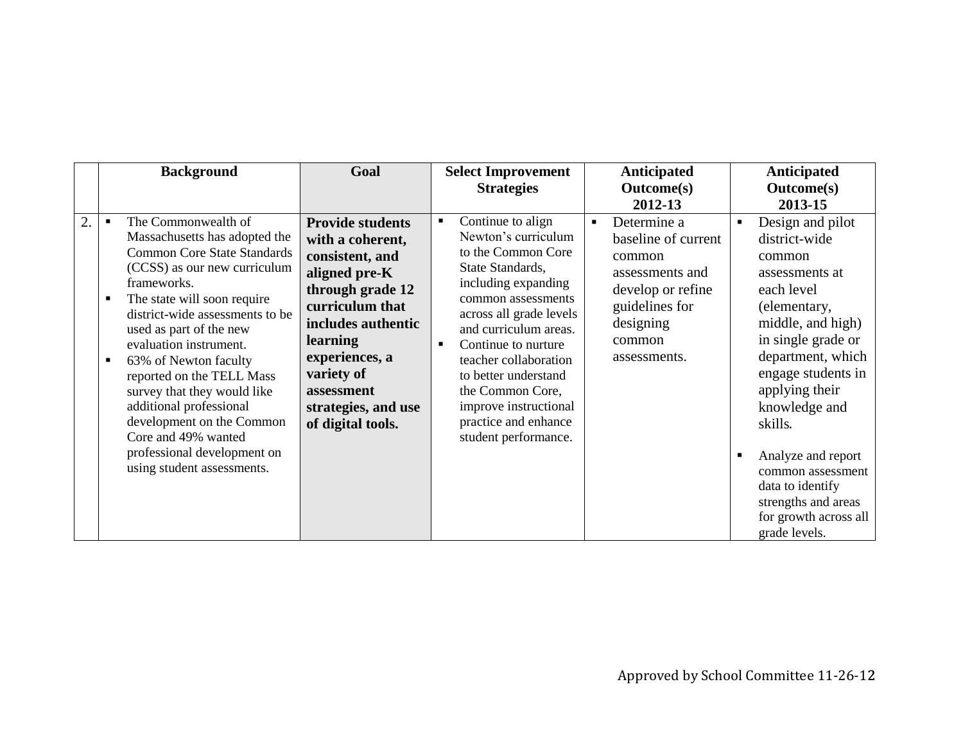|                | <b>Background</b>                                                                                                                                                                                                                                                                                                                                                                                                                                                                                 | Goal                                                                                                                                                                                                                                               | <b>Select Improvement</b><br><b>Strategies</b>                                                                                                                                                                                                                                                                                                                                               | <b>Anticipated</b><br><b>Outcome(s)</b><br>2012-13                                                                                                              | <b>Anticipated</b><br><b>Outcome(s)</b><br>2013-15                                                                                                                                                                                                                                                                                                              |
|----------------|---------------------------------------------------------------------------------------------------------------------------------------------------------------------------------------------------------------------------------------------------------------------------------------------------------------------------------------------------------------------------------------------------------------------------------------------------------------------------------------------------|----------------------------------------------------------------------------------------------------------------------------------------------------------------------------------------------------------------------------------------------------|----------------------------------------------------------------------------------------------------------------------------------------------------------------------------------------------------------------------------------------------------------------------------------------------------------------------------------------------------------------------------------------------|-----------------------------------------------------------------------------------------------------------------------------------------------------------------|-----------------------------------------------------------------------------------------------------------------------------------------------------------------------------------------------------------------------------------------------------------------------------------------------------------------------------------------------------------------|
| $\overline{2}$ | The Commonwealth of<br>Massachusetts has adopted the<br><b>Common Core State Standards</b><br>(CCSS) as our new curriculum<br>frameworks.<br>The state will soon require<br>district-wide assessments to be<br>used as part of the new<br>evaluation instrument.<br>63% of Newton faculty<br>reported on the TELL Mass<br>survey that they would like<br>additional professional<br>development on the Common<br>Core and 49% wanted<br>professional development on<br>using student assessments. | <b>Provide students</b><br>with a coherent,<br>consistent, and<br>aligned pre-K<br>through grade 12<br>curriculum that<br>includes authentic<br>learning<br>experiences, a<br>variety of<br>assessment<br>strategies, and use<br>of digital tools. | Continue to align<br>$\blacksquare$<br>Newton's curriculum<br>to the Common Core<br>State Standards,<br>including expanding<br>common assessments<br>across all grade levels<br>and curriculum areas.<br>Continue to nurture<br>$\blacksquare$<br>teacher collaboration<br>to better understand<br>the Common Core,<br>improve instructional<br>practice and enhance<br>student performance. | Determine a<br>$\blacksquare$<br>baseline of current<br>common<br>assessments and<br>develop or refine<br>guidelines for<br>designing<br>common<br>assessments. | Design and pilot<br>district-wide<br>common<br>assessments at<br>each level<br>(elementary,<br>middle, and high)<br>in single grade or<br>department, which<br>engage students in<br>applying their<br>knowledge and<br>skills.<br>Analyze and report<br>common assessment<br>data to identify<br>strengths and areas<br>for growth across all<br>grade levels. |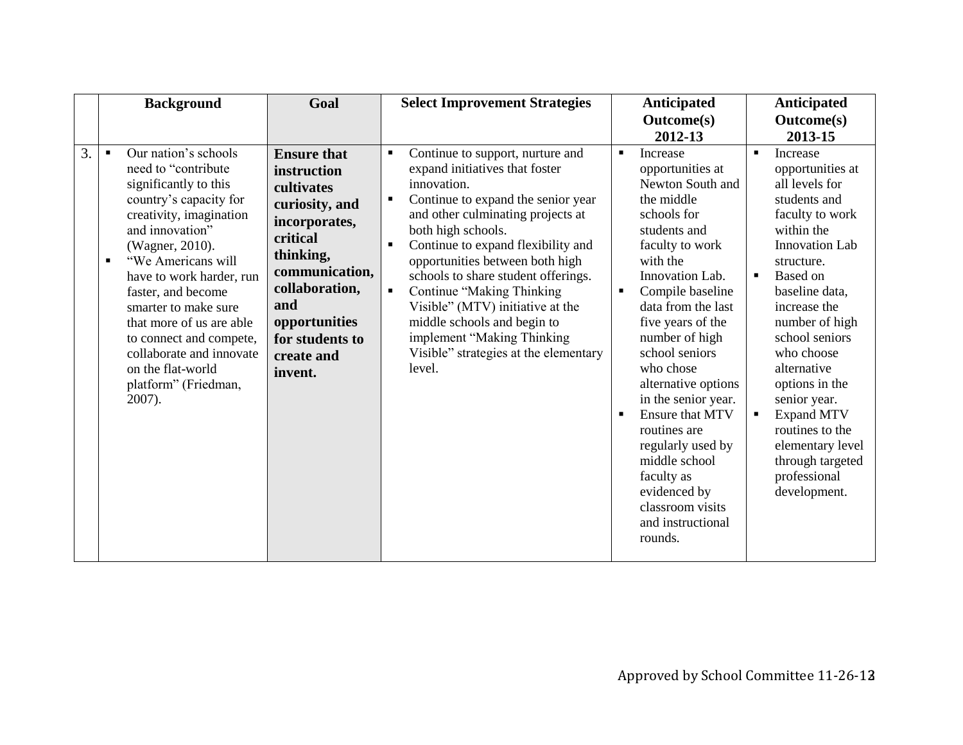|                  | <b>Background</b>                                                                                                                                                                                                                                                                                                                                                                                                                              | Goal                                                                                                                                                                                                                | <b>Select Improvement Strategies</b>                                                                                                                                                                                                                                                                                                                                                                                                                                                                                                                  | Anticipated                                                                                                                                                                                                                                                                                                                                                                                                                                                                                            | Anticipated                                                                                                                                                                                                                                                                                                                                                                                                                                 |
|------------------|------------------------------------------------------------------------------------------------------------------------------------------------------------------------------------------------------------------------------------------------------------------------------------------------------------------------------------------------------------------------------------------------------------------------------------------------|---------------------------------------------------------------------------------------------------------------------------------------------------------------------------------------------------------------------|-------------------------------------------------------------------------------------------------------------------------------------------------------------------------------------------------------------------------------------------------------------------------------------------------------------------------------------------------------------------------------------------------------------------------------------------------------------------------------------------------------------------------------------------------------|--------------------------------------------------------------------------------------------------------------------------------------------------------------------------------------------------------------------------------------------------------------------------------------------------------------------------------------------------------------------------------------------------------------------------------------------------------------------------------------------------------|---------------------------------------------------------------------------------------------------------------------------------------------------------------------------------------------------------------------------------------------------------------------------------------------------------------------------------------------------------------------------------------------------------------------------------------------|
|                  |                                                                                                                                                                                                                                                                                                                                                                                                                                                |                                                                                                                                                                                                                     |                                                                                                                                                                                                                                                                                                                                                                                                                                                                                                                                                       | <b>Outcome(s)</b>                                                                                                                                                                                                                                                                                                                                                                                                                                                                                      | <b>Outcome(s)</b>                                                                                                                                                                                                                                                                                                                                                                                                                           |
|                  |                                                                                                                                                                                                                                                                                                                                                                                                                                                |                                                                                                                                                                                                                     |                                                                                                                                                                                                                                                                                                                                                                                                                                                                                                                                                       | 2012-13                                                                                                                                                                                                                                                                                                                                                                                                                                                                                                | 2013-15                                                                                                                                                                                                                                                                                                                                                                                                                                     |
| $\overline{3}$ . | Our nation's schools<br>$\blacksquare$<br>need to "contribute"<br>significantly to this<br>country's capacity for<br>creativity, imagination<br>and innovation"<br>(Wagner, 2010).<br>"We Americans will<br>$\blacksquare$<br>have to work harder, run<br>faster, and become<br>smarter to make sure<br>that more of us are able<br>to connect and compete,<br>collaborate and innovate<br>on the flat-world<br>platform" (Friedman,<br>2007). | <b>Ensure that</b><br>instruction<br>cultivates<br>curiosity, and<br>incorporates,<br>critical<br>thinking,<br>communication,<br>collaboration,<br>and<br>opportunities<br>for students to<br>create and<br>invent. | Continue to support, nurture and<br>$\blacksquare$<br>expand initiatives that foster<br>innovation.<br>Continue to expand the senior year<br>п<br>and other culminating projects at<br>both high schools.<br>Continue to expand flexibility and<br>$\blacksquare$<br>opportunities between both high<br>schools to share student offerings.<br><b>Continue "Making Thinking</b><br>$\blacksquare$<br>Visible" (MTV) initiative at the<br>middle schools and begin to<br>implement "Making Thinking<br>Visible" strategies at the elementary<br>level. | Increase<br>٠<br>opportunities at<br>Newton South and<br>the middle<br>schools for<br>students and<br>faculty to work<br>with the<br>Innovation Lab.<br>Compile baseline<br>$\blacksquare$<br>data from the last<br>five years of the<br>number of high<br>school seniors<br>who chose<br>alternative options<br>in the senior year.<br><b>Ensure that MTV</b><br>routines are<br>regularly used by<br>middle school<br>faculty as<br>evidenced by<br>classroom visits<br>and instructional<br>rounds. | Increase<br>$\blacksquare$<br>opportunities at<br>all levels for<br>students and<br>faculty to work<br>within the<br><b>Innovation Lab</b><br>structure.<br>Based on<br>$\blacksquare$<br>baseline data,<br>increase the<br>number of high<br>school seniors<br>who choose<br>alternative<br>options in the<br>senior year.<br><b>Expand MTV</b><br>routines to the<br>elementary level<br>through targeted<br>professional<br>development. |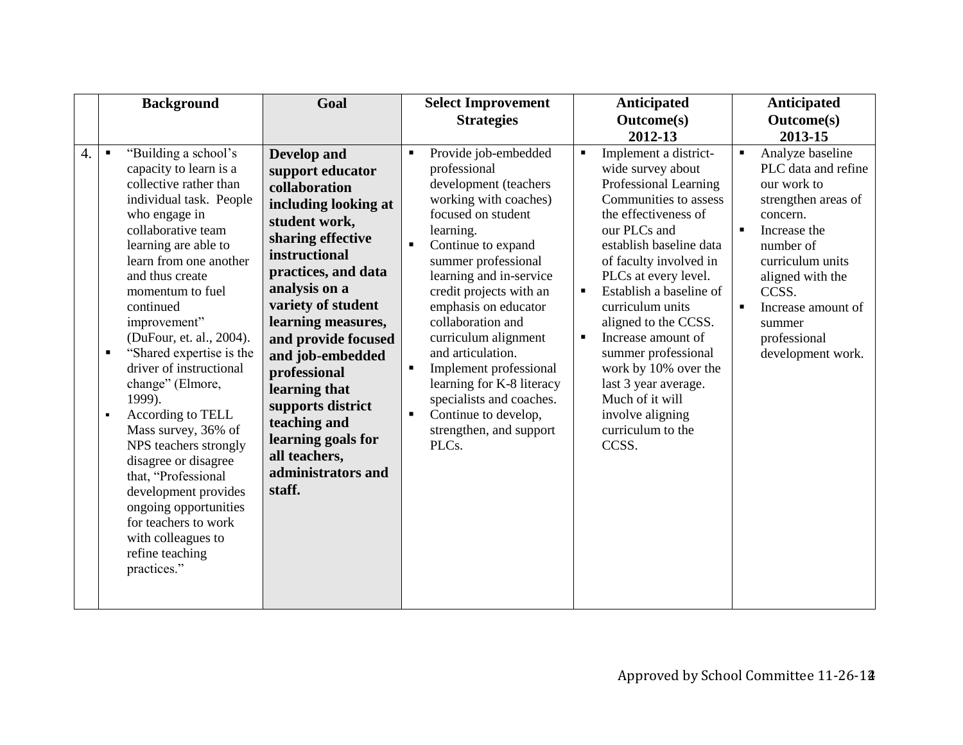|    | <b>Background</b>                                                                                                                                                                                                                                                                                                                                                                                                                                                                                                                                                                                                                                                                            | Goal                                                                                                                                                                                                                                                                                                                                                                                                               | <b>Select Improvement</b><br><b>Strategies</b>                                                                                                                                                                                                                                                                                                                                                                                                                                                                                                | <b>Anticipated</b><br><b>Outcome(s)</b><br>2012-13                                                                                                                                                                                                                                                                                                                                                                                                                                                               | Anticipated<br><b>Outcome(s)</b><br>2013-15                                                                                                                                                                                                                                           |
|----|----------------------------------------------------------------------------------------------------------------------------------------------------------------------------------------------------------------------------------------------------------------------------------------------------------------------------------------------------------------------------------------------------------------------------------------------------------------------------------------------------------------------------------------------------------------------------------------------------------------------------------------------------------------------------------------------|--------------------------------------------------------------------------------------------------------------------------------------------------------------------------------------------------------------------------------------------------------------------------------------------------------------------------------------------------------------------------------------------------------------------|-----------------------------------------------------------------------------------------------------------------------------------------------------------------------------------------------------------------------------------------------------------------------------------------------------------------------------------------------------------------------------------------------------------------------------------------------------------------------------------------------------------------------------------------------|------------------------------------------------------------------------------------------------------------------------------------------------------------------------------------------------------------------------------------------------------------------------------------------------------------------------------------------------------------------------------------------------------------------------------------------------------------------------------------------------------------------|---------------------------------------------------------------------------------------------------------------------------------------------------------------------------------------------------------------------------------------------------------------------------------------|
| 4. | "Building a school's<br>$\blacksquare$<br>capacity to learn is a<br>collective rather than<br>individual task. People<br>who engage in<br>collaborative team<br>learning are able to<br>learn from one another<br>and thus create<br>momentum to fuel<br>continued<br>improvement"<br>(DuFour, et. al., 2004).<br>"Shared expertise is the<br>$\blacksquare$<br>driver of instructional<br>change" (Elmore,<br>1999).<br>According to TELL<br>$\blacksquare$<br>Mass survey, 36% of<br>NPS teachers strongly<br>disagree or disagree<br>that, "Professional<br>development provides<br>ongoing opportunities<br>for teachers to work<br>with colleagues to<br>refine teaching<br>practices." | <b>Develop</b> and<br>support educator<br>collaboration<br>including looking at<br>student work,<br>sharing effective<br>instructional<br>practices, and data<br>analysis on a<br>variety of student<br>learning measures,<br>and provide focused<br>and job-embedded<br>professional<br>learning that<br>supports district<br>teaching and<br>learning goals for<br>all teachers,<br>administrators and<br>staff. | Provide job-embedded<br>$\blacksquare$<br>professional<br>development (teachers<br>working with coaches)<br>focused on student<br>learning.<br>Continue to expand<br>$\blacksquare$<br>summer professional<br>learning and in-service<br>credit projects with an<br>emphasis on educator<br>collaboration and<br>curriculum alignment<br>and articulation.<br>Implement professional<br>$\blacksquare$<br>learning for K-8 literacy<br>specialists and coaches.<br>Continue to develop,<br>$\blacksquare$<br>strengthen, and support<br>PLCs. | Implement a district-<br>$\blacksquare$<br>wide survey about<br>Professional Learning<br>Communities to assess<br>the effectiveness of<br>our PLCs and<br>establish baseline data<br>of faculty involved in<br>PLCs at every level.<br>Establish a baseline of<br>$\blacksquare$<br>curriculum units<br>aligned to the CCSS.<br>Increase amount of<br>$\blacksquare$<br>summer professional<br>work by 10% over the<br>last 3 year average.<br>Much of it will<br>involve aligning<br>curriculum to the<br>CCSS. | Analyze baseline<br>$\blacksquare$<br>PLC data and refine<br>our work to<br>strengthen areas of<br>concern.<br>Increase the<br>$\blacksquare$<br>number of<br>curriculum units<br>aligned with the<br>CCSS.<br>Increase amount of<br>٠<br>summer<br>professional<br>development work. |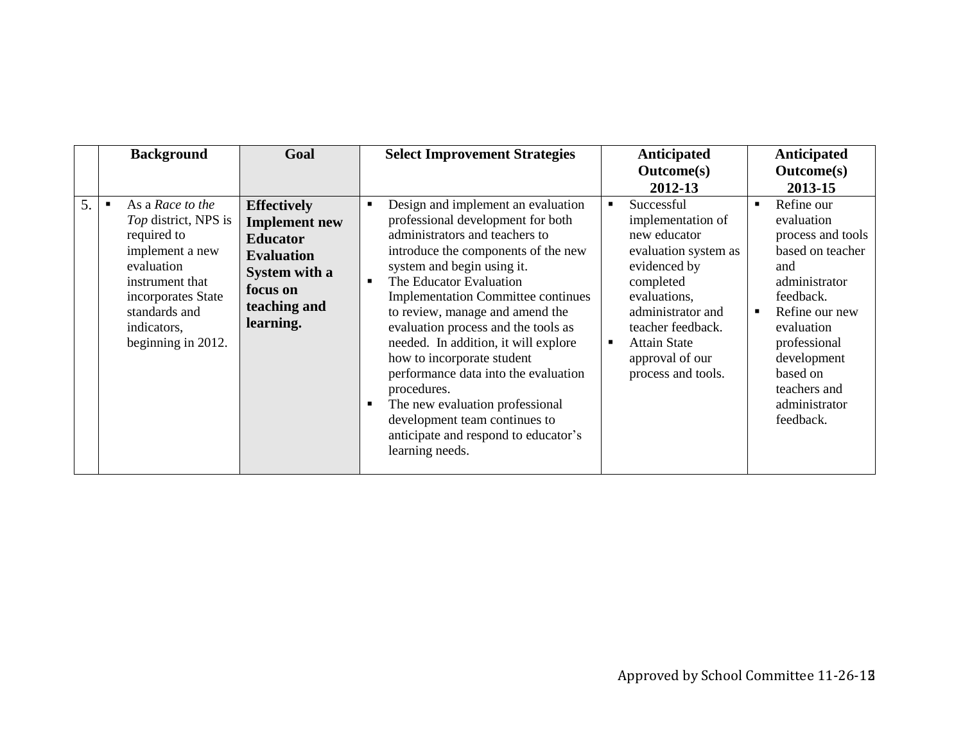|    | <b>Background</b>                                                                                                                                                                                         | Goal                                                                                                                                         | <b>Select Improvement Strategies</b>                                                                                                                                                                                                                                                                                                                                                                                                                                                                                                                                                                                                  | Anticipated<br><b>Outcome(s)</b><br>2012-13                                                                                                                                                                                                      | Anticipated<br><b>Outcome(s)</b><br>2013-15                                                                                                                                                                                                            |
|----|-----------------------------------------------------------------------------------------------------------------------------------------------------------------------------------------------------------|----------------------------------------------------------------------------------------------------------------------------------------------|---------------------------------------------------------------------------------------------------------------------------------------------------------------------------------------------------------------------------------------------------------------------------------------------------------------------------------------------------------------------------------------------------------------------------------------------------------------------------------------------------------------------------------------------------------------------------------------------------------------------------------------|--------------------------------------------------------------------------------------------------------------------------------------------------------------------------------------------------------------------------------------------------|--------------------------------------------------------------------------------------------------------------------------------------------------------------------------------------------------------------------------------------------------------|
| 5. | As a Race to the<br>$\blacksquare$<br>Top district, NPS is<br>required to<br>implement a new<br>evaluation<br>instrument that<br>incorporates State<br>standards and<br>indicators,<br>beginning in 2012. | <b>Effectively</b><br><b>Implement</b> new<br><b>Educator</b><br><b>Evaluation</b><br>System with a<br>focus on<br>teaching and<br>learning. | Design and implement an evaluation<br>п<br>professional development for both<br>administrators and teachers to<br>introduce the components of the new<br>system and begin using it.<br>The Educator Evaluation<br>$\blacksquare$<br><b>Implementation Committee continues</b><br>to review, manage and amend the<br>evaluation process and the tools as<br>needed. In addition, it will explore<br>how to incorporate student<br>performance data into the evaluation<br>procedures.<br>The new evaluation professional<br>$\blacksquare$<br>development team continues to<br>anticipate and respond to educator's<br>learning needs. | Successful<br>implementation of<br>new educator<br>evaluation system as<br>evidenced by<br>completed<br>evaluations,<br>administrator and<br>teacher feedback.<br><b>Attain State</b><br>$\blacksquare$<br>approval of our<br>process and tools. | Refine our<br>$\blacksquare$<br>evaluation<br>process and tools<br>based on teacher<br>and<br>administrator<br>feedback.<br>Refine our new<br>п<br>evaluation<br>professional<br>development<br>based on<br>teachers and<br>administrator<br>feedback. |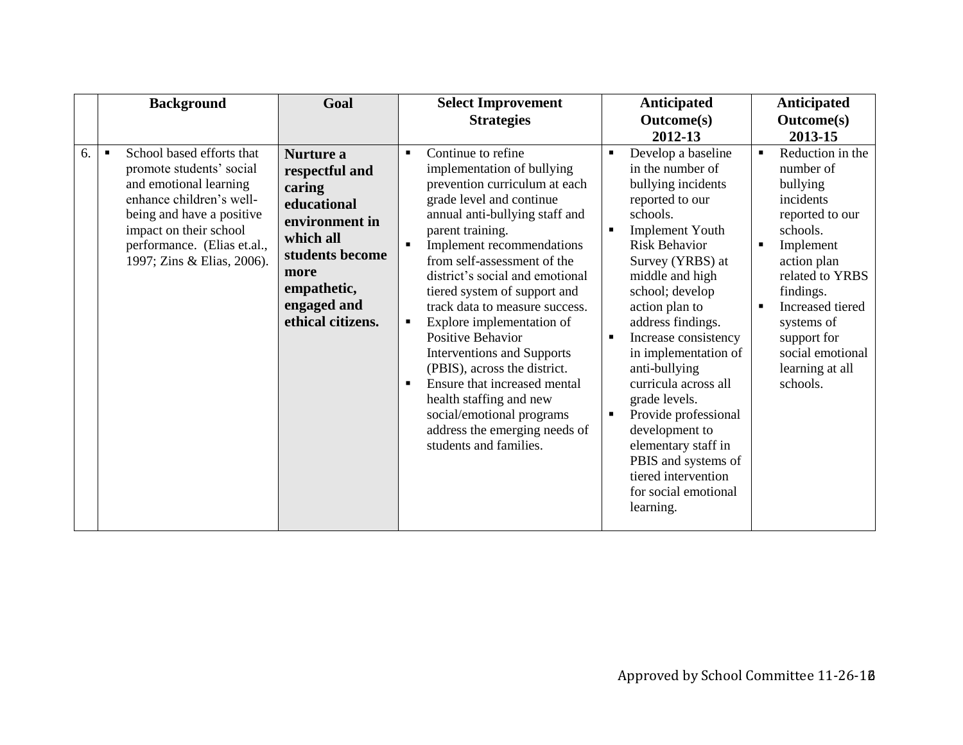|    | <b>Background</b>                                                                                                                                                                                                                                 | Goal                                                                                                                                                              | <b>Select Improvement</b><br><b>Strategies</b>                                                                                                                                                                                                                                                                                                                                                                                                                                                                                                                                                                                                                                   | Anticipated<br><b>Outcome(s)</b><br>2012-13                                                                                                                                                                                                                                                                                                                                                                                                                                                                            | <b>Anticipated</b><br><b>Outcome(s)</b><br>2013-15                                                                                                                                                                                                                                |
|----|---------------------------------------------------------------------------------------------------------------------------------------------------------------------------------------------------------------------------------------------------|-------------------------------------------------------------------------------------------------------------------------------------------------------------------|----------------------------------------------------------------------------------------------------------------------------------------------------------------------------------------------------------------------------------------------------------------------------------------------------------------------------------------------------------------------------------------------------------------------------------------------------------------------------------------------------------------------------------------------------------------------------------------------------------------------------------------------------------------------------------|------------------------------------------------------------------------------------------------------------------------------------------------------------------------------------------------------------------------------------------------------------------------------------------------------------------------------------------------------------------------------------------------------------------------------------------------------------------------------------------------------------------------|-----------------------------------------------------------------------------------------------------------------------------------------------------------------------------------------------------------------------------------------------------------------------------------|
| 6. | School based efforts that<br>$\blacksquare$<br>promote students' social<br>and emotional learning<br>enhance children's well-<br>being and have a positive<br>impact on their school<br>performance. (Elias et.al.,<br>1997; Zins & Elias, 2006). | Nurture a<br>respectful and<br>caring<br>educational<br>environment in<br>which all<br>students become<br>more<br>empathetic,<br>engaged and<br>ethical citizens. | Continue to refine<br>$\blacksquare$<br>implementation of bullying<br>prevention curriculum at each<br>grade level and continue<br>annual anti-bullying staff and<br>parent training.<br>Implement recommendations<br>$\blacksquare$<br>from self-assessment of the<br>district's social and emotional<br>tiered system of support and<br>track data to measure success.<br>Explore implementation of<br>٠<br><b>Positive Behavior</b><br><b>Interventions and Supports</b><br>(PBIS), across the district.<br>Ensure that increased mental<br>$\blacksquare$<br>health staffing and new<br>social/emotional programs<br>address the emerging needs of<br>students and families. | Develop a baseline<br>in the number of<br>bullying incidents<br>reported to our<br>schools.<br><b>Implement Youth</b><br>٠<br><b>Risk Behavior</b><br>Survey (YRBS) at<br>middle and high<br>school; develop<br>action plan to<br>address findings.<br>Increase consistency<br>in implementation of<br>anti-bullying<br>curricula across all<br>grade levels.<br>Provide professional<br>٠<br>development to<br>elementary staff in<br>PBIS and systems of<br>tiered intervention<br>for social emotional<br>learning. | Reduction in the<br>$\blacksquare$<br>number of<br>bullying<br>incidents<br>reported to our<br>schools.<br>Implement<br>٠<br>action plan<br>related to YRBS<br>findings.<br>Increased tiered<br>٠<br>systems of<br>support for<br>social emotional<br>learning at all<br>schools. |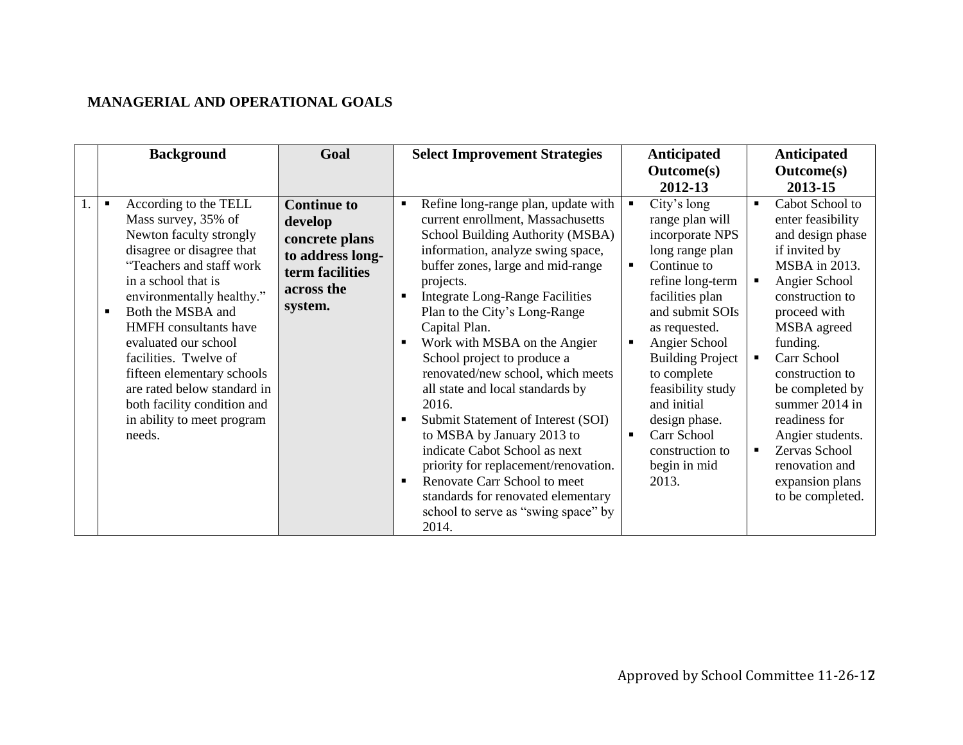## **MANAGERIAL AND OPERATIONAL GOALS**

| <b>Background</b>                                                                                                                                                                                                                                                                                                                                                                                                                                | Goal                                                                                                            | <b>Select Improvement Strategies</b>                                                                                                                                                                                                                                                                                                                                                                                                                                                                                                                                                                                                                                                                                                  | <b>Anticipated</b>                                                                                                                                                                                                                                                                                                                                                                                                | <b>Anticipated</b>                                                                                                                                                                                                                                                                                                                                                                          |
|--------------------------------------------------------------------------------------------------------------------------------------------------------------------------------------------------------------------------------------------------------------------------------------------------------------------------------------------------------------------------------------------------------------------------------------------------|-----------------------------------------------------------------------------------------------------------------|---------------------------------------------------------------------------------------------------------------------------------------------------------------------------------------------------------------------------------------------------------------------------------------------------------------------------------------------------------------------------------------------------------------------------------------------------------------------------------------------------------------------------------------------------------------------------------------------------------------------------------------------------------------------------------------------------------------------------------------|-------------------------------------------------------------------------------------------------------------------------------------------------------------------------------------------------------------------------------------------------------------------------------------------------------------------------------------------------------------------------------------------------------------------|---------------------------------------------------------------------------------------------------------------------------------------------------------------------------------------------------------------------------------------------------------------------------------------------------------------------------------------------------------------------------------------------|
|                                                                                                                                                                                                                                                                                                                                                                                                                                                  |                                                                                                                 |                                                                                                                                                                                                                                                                                                                                                                                                                                                                                                                                                                                                                                                                                                                                       | <b>Outcome(s)</b>                                                                                                                                                                                                                                                                                                                                                                                                 | <b>Outcome(s)</b>                                                                                                                                                                                                                                                                                                                                                                           |
|                                                                                                                                                                                                                                                                                                                                                                                                                                                  |                                                                                                                 |                                                                                                                                                                                                                                                                                                                                                                                                                                                                                                                                                                                                                                                                                                                                       | 2012-13                                                                                                                                                                                                                                                                                                                                                                                                           | 2013-15                                                                                                                                                                                                                                                                                                                                                                                     |
| According to the TELL<br>$\blacksquare$<br>Mass survey, 35% of<br>Newton faculty strongly<br>disagree or disagree that<br>"Teachers and staff work<br>in a school that is<br>environmentally healthy."<br>Both the MSBA and<br><b>HMFH</b> consultants have<br>evaluated our school<br>facilities. Twelve of<br>fifteen elementary schools<br>are rated below standard in<br>both facility condition and<br>in ability to meet program<br>needs. | <b>Continue to</b><br>develop<br>concrete plans<br>to address long-<br>term facilities<br>across the<br>system. | Refine long-range plan, update with<br>$\blacksquare$<br>current enrollment, Massachusetts<br>School Building Authority (MSBA)<br>information, analyze swing space,<br>buffer zones, large and mid-range<br>projects.<br><b>Integrate Long-Range Facilities</b><br>Plan to the City's Long-Range<br>Capital Plan.<br>Work with MSBA on the Angier<br>School project to produce a<br>renovated/new school, which meets<br>all state and local standards by<br>2016.<br>Submit Statement of Interest (SOI)<br>to MSBA by January 2013 to<br>indicate Cabot School as next<br>priority for replacement/renovation.<br>Renovate Carr School to meet<br>standards for renovated elementary<br>school to serve as "swing space" by<br>2014. | City's long<br>$\blacksquare$<br>range plan will<br>incorporate NPS<br>long range plan<br>Continue to<br>$\blacksquare$<br>refine long-term<br>facilities plan<br>and submit SOIs<br>as requested.<br>Angier School<br>$\blacksquare$<br><b>Building Project</b><br>to complete<br>feasibility study<br>and initial<br>design phase.<br>Carr School<br>$\blacksquare$<br>construction to<br>begin in mid<br>2013. | Cabot School to<br>$\blacksquare$<br>enter feasibility<br>and design phase<br>if invited by<br>MSBA in 2013.<br>Angier School<br>п<br>construction to<br>proceed with<br>MSBA agreed<br>funding.<br>Carr School<br>construction to<br>be completed by<br>summer 2014 in<br>readiness for<br>Angier students.<br>Zervas School<br>п<br>renovation and<br>expansion plans<br>to be completed. |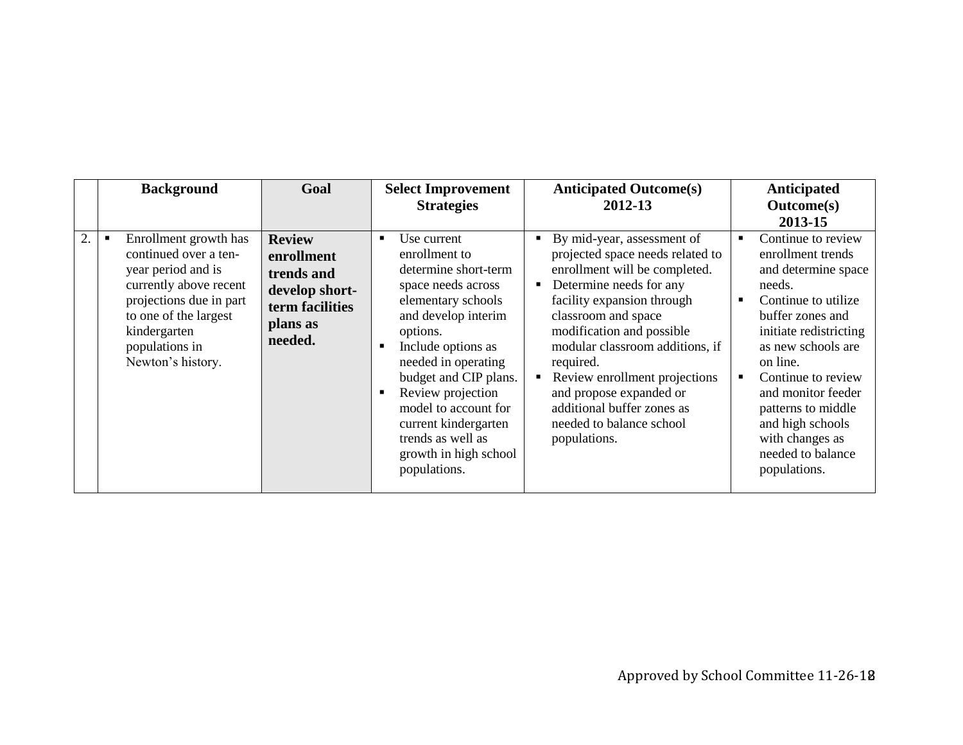|    | <b>Background</b>                                                                                                                                                                                         | Goal                                                                                                  | <b>Select Improvement</b><br><b>Strategies</b>                                                                                                                                                                                                                                                                                                                                   | <b>Anticipated Outcome(s)</b><br>2012-13                                                                                                                                                                                                                                                                                                                                                                | <b>Anticipated</b><br><b>Outcome(s)</b><br>2013-15                                                                                                                                                                                                                                                                                              |
|----|-----------------------------------------------------------------------------------------------------------------------------------------------------------------------------------------------------------|-------------------------------------------------------------------------------------------------------|----------------------------------------------------------------------------------------------------------------------------------------------------------------------------------------------------------------------------------------------------------------------------------------------------------------------------------------------------------------------------------|---------------------------------------------------------------------------------------------------------------------------------------------------------------------------------------------------------------------------------------------------------------------------------------------------------------------------------------------------------------------------------------------------------|-------------------------------------------------------------------------------------------------------------------------------------------------------------------------------------------------------------------------------------------------------------------------------------------------------------------------------------------------|
| 2. | Enrollment growth has<br>continued over a ten-<br>year period and is<br>currently above recent<br>projections due in part<br>to one of the largest<br>kindergarten<br>populations in<br>Newton's history. | <b>Review</b><br>enrollment<br>trends and<br>develop short-<br>term facilities<br>plans as<br>needed. | Use current<br>$\blacksquare$<br>enrollment to<br>determine short-term<br>space needs across<br>elementary schools<br>and develop interim<br>options.<br>Include options as<br>$\blacksquare$<br>needed in operating<br>budget and CIP plans.<br>Review projection<br>model to account for<br>current kindergarten<br>trends as well as<br>growth in high school<br>populations. | By mid-year, assessment of<br>٠<br>projected space needs related to<br>enrollment will be completed.<br>Determine needs for any<br>facility expansion through<br>classroom and space<br>modification and possible<br>modular classroom additions, if<br>required.<br>Review enrollment projections<br>and propose expanded or<br>additional buffer zones as<br>needed to balance school<br>populations. | Continue to review<br>$\blacksquare$<br>enrollment trends<br>and determine space<br>needs.<br>Continue to utilize<br>buffer zones and<br>initiate redistricting<br>as new schools are<br>on line.<br>Continue to review<br>and monitor feeder<br>patterns to middle<br>and high schools<br>with changes as<br>needed to balance<br>populations. |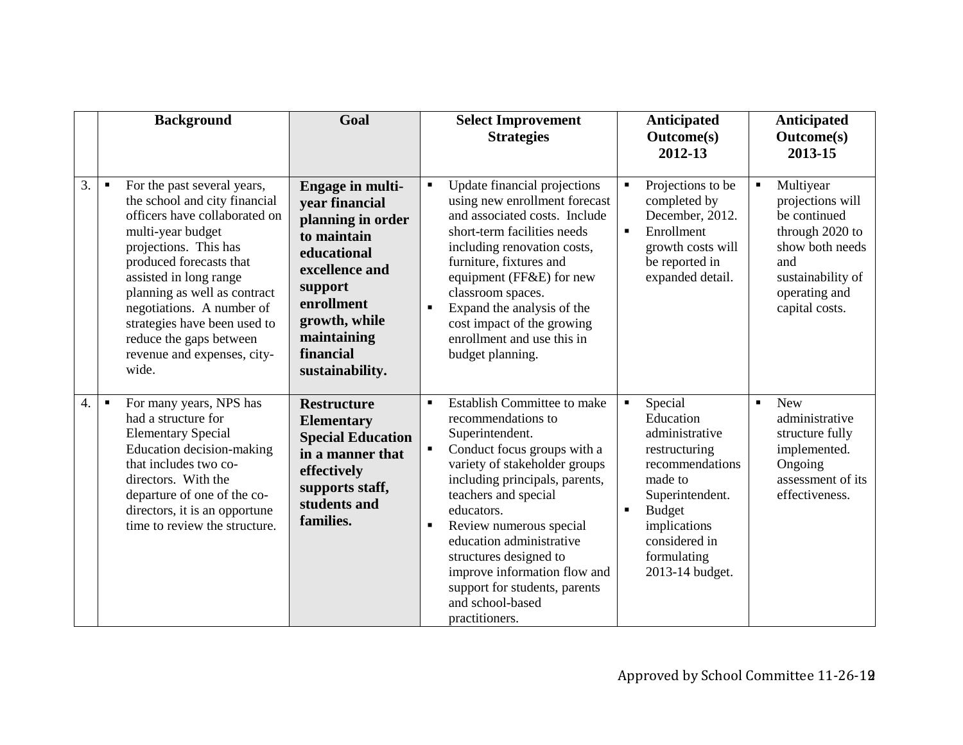|                  | <b>Background</b>                                                                                                                                                                                                                                                                                                                                                                  | Goal                                                                                                                                                                                             | <b>Select Improvement</b><br><b>Strategies</b>                                                                                                                                                                                                                                                                                                                                                                                                       | Anticipated<br><b>Outcome(s)</b><br>2012-13                                                                                                                                                  | Anticipated<br><b>Outcome(s)</b><br>2013-15                                                                                                                          |
|------------------|------------------------------------------------------------------------------------------------------------------------------------------------------------------------------------------------------------------------------------------------------------------------------------------------------------------------------------------------------------------------------------|--------------------------------------------------------------------------------------------------------------------------------------------------------------------------------------------------|------------------------------------------------------------------------------------------------------------------------------------------------------------------------------------------------------------------------------------------------------------------------------------------------------------------------------------------------------------------------------------------------------------------------------------------------------|----------------------------------------------------------------------------------------------------------------------------------------------------------------------------------------------|----------------------------------------------------------------------------------------------------------------------------------------------------------------------|
| 3.               | For the past several years,<br>$\blacksquare$<br>the school and city financial<br>officers have collaborated on<br>multi-year budget<br>projections. This has<br>produced forecasts that<br>assisted in long range<br>planning as well as contract<br>negotiations. A number of<br>strategies have been used to<br>reduce the gaps between<br>revenue and expenses, city-<br>wide. | Engage in multi-<br>vear financial<br>planning in order<br>to maintain<br>educational<br>excellence and<br>support<br>enrollment<br>growth, while<br>maintaining<br>financial<br>sustainability. | Update financial projections<br>$\blacksquare$<br>using new enrollment forecast<br>and associated costs. Include<br>short-term facilities needs<br>including renovation costs,<br>furniture, fixtures and<br>equipment (FF&E) for new<br>classroom spaces.<br>Expand the analysis of the<br>$\blacksquare$<br>cost impact of the growing<br>enrollment and use this in<br>budget planning.                                                           | Projections to be<br>completed by<br>December, 2012.<br>Enrollment<br>F<br>growth costs will<br>be reported in<br>expanded detail.                                                           | Multiyear<br>$\blacksquare$<br>projections will<br>be continued<br>through 2020 to<br>show both needs<br>and<br>sustainability of<br>operating and<br>capital costs. |
| $\overline{4}$ . | For many years, NPS has<br>$\blacksquare$<br>had a structure for<br><b>Elementary Special</b><br>Education decision-making<br>that includes two co-<br>directors. With the<br>departure of one of the co-<br>directors, it is an opportune<br>time to review the structure.                                                                                                        | <b>Restructure</b><br><b>Elementary</b><br><b>Special Education</b><br>in a manner that<br>effectively<br>supports staff,<br>students and<br>families.                                           | <b>Establish Committee to make</b><br>$\blacksquare$<br>recommendations to<br>Superintendent.<br>Conduct focus groups with a<br>$\blacksquare$<br>variety of stakeholder groups<br>including principals, parents,<br>teachers and special<br>educators.<br>Review numerous special<br>٠<br>education administrative<br>structures designed to<br>improve information flow and<br>support for students, parents<br>and school-based<br>practitioners. | Special<br>Education<br>administrative<br>restructuring<br>recommendations<br>made to<br>Superintendent.<br><b>Budget</b><br>implications<br>considered in<br>formulating<br>2013-14 budget. | <b>New</b><br>$\blacksquare$<br>administrative<br>structure fully<br>implemented.<br>Ongoing<br>assessment of its<br>effectiveness.                                  |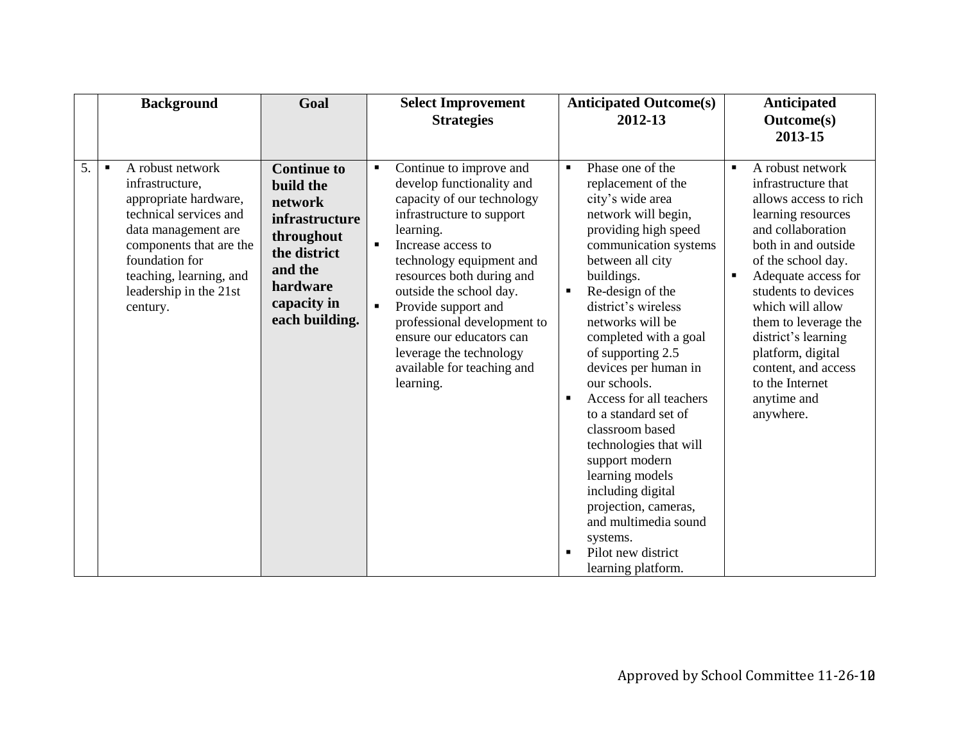|    | <b>Background</b>                                                                                                                                                                                                                             | Goal                                                                                                                                                      | <b>Select Improvement</b><br><b>Strategies</b>                                                                                                                                                                                                                                                                                                                                                                                                       | <b>Anticipated Outcome(s)</b><br>2012-13                                                                                                                                                                                                                                                                                                                                                                                                                                                                                                                                                                                             | Anticipated<br><b>Outcome(s)</b><br>2013-15                                                                                                                                                                                                                                                                                                                                                              |
|----|-----------------------------------------------------------------------------------------------------------------------------------------------------------------------------------------------------------------------------------------------|-----------------------------------------------------------------------------------------------------------------------------------------------------------|------------------------------------------------------------------------------------------------------------------------------------------------------------------------------------------------------------------------------------------------------------------------------------------------------------------------------------------------------------------------------------------------------------------------------------------------------|--------------------------------------------------------------------------------------------------------------------------------------------------------------------------------------------------------------------------------------------------------------------------------------------------------------------------------------------------------------------------------------------------------------------------------------------------------------------------------------------------------------------------------------------------------------------------------------------------------------------------------------|----------------------------------------------------------------------------------------------------------------------------------------------------------------------------------------------------------------------------------------------------------------------------------------------------------------------------------------------------------------------------------------------------------|
| 5. | A robust network<br>$\blacksquare$<br>infrastructure,<br>appropriate hardware,<br>technical services and<br>data management are<br>components that are the<br>foundation for<br>teaching, learning, and<br>leadership in the 21st<br>century. | <b>Continue to</b><br>build the<br>network<br><i>infrastructure</i><br>throughout<br>the district<br>and the<br>hardware<br>capacity in<br>each building. | Continue to improve and<br>$\blacksquare$<br>develop functionality and<br>capacity of our technology<br>infrastructure to support<br>learning.<br>$\blacksquare$<br>Increase access to<br>technology equipment and<br>resources both during and<br>outside the school day.<br>Provide support and<br>$\blacksquare$<br>professional development to<br>ensure our educators can<br>leverage the technology<br>available for teaching and<br>learning. | Phase one of the<br>$\blacksquare$<br>replacement of the<br>city's wide area<br>network will begin,<br>providing high speed<br>communication systems<br>between all city<br>buildings.<br>Re-design of the<br>٠<br>district's wireless<br>networks will be<br>completed with a goal<br>of supporting 2.5<br>devices per human in<br>our schools.<br>Access for all teachers<br>$\blacksquare$<br>to a standard set of<br>classroom based<br>technologies that will<br>support modern<br>learning models<br>including digital<br>projection, cameras,<br>and multimedia sound<br>systems.<br>Pilot new district<br>learning platform. | A robust network<br>$\blacksquare$<br>infrastructure that<br>allows access to rich<br>learning resources<br>and collaboration<br>both in and outside<br>of the school day.<br>Adequate access for<br>$\blacksquare$<br>students to devices<br>which will allow<br>them to leverage the<br>district's learning<br>platform, digital<br>content, and access<br>to the Internet<br>anytime and<br>anywhere. |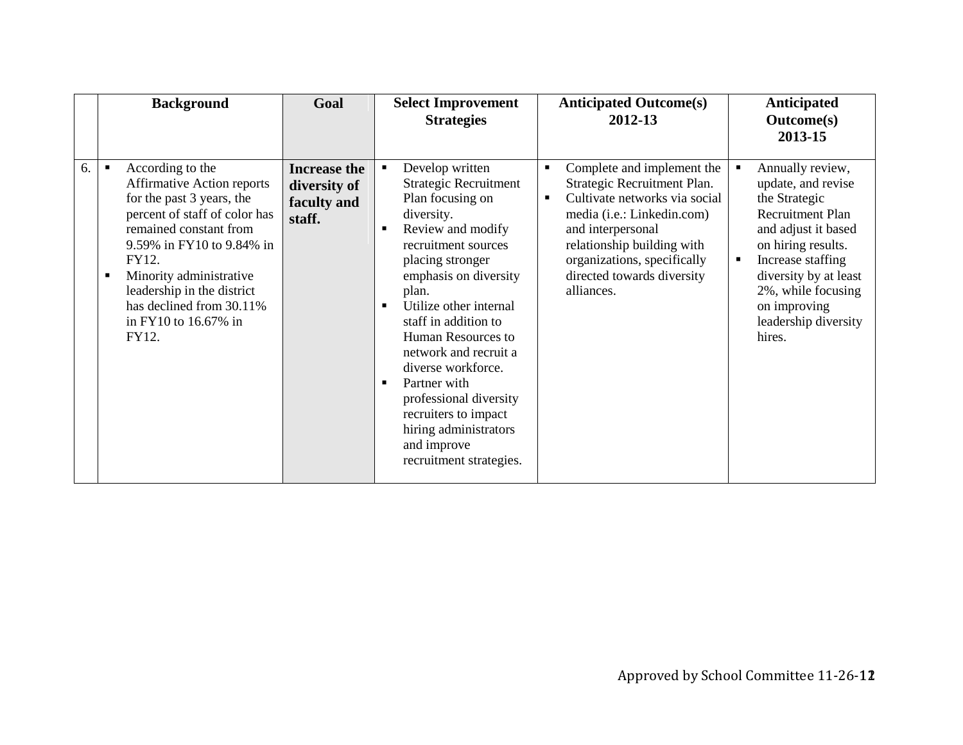|    | <b>Background</b>                                                                                                                                                                                                                                                                                                                | Goal                                                         | <b>Select Improvement</b><br><b>Strategies</b>                                                                                                                                                                                                                                                                                                                                                                                                                    | <b>Anticipated Outcome(s)</b><br>2012-13                                                                                                                                                                                                                                               | Anticipated<br><b>Outcome(s)</b><br>2013-15                                                                                                                                                                                                                             |
|----|----------------------------------------------------------------------------------------------------------------------------------------------------------------------------------------------------------------------------------------------------------------------------------------------------------------------------------|--------------------------------------------------------------|-------------------------------------------------------------------------------------------------------------------------------------------------------------------------------------------------------------------------------------------------------------------------------------------------------------------------------------------------------------------------------------------------------------------------------------------------------------------|----------------------------------------------------------------------------------------------------------------------------------------------------------------------------------------------------------------------------------------------------------------------------------------|-------------------------------------------------------------------------------------------------------------------------------------------------------------------------------------------------------------------------------------------------------------------------|
| 6. | According to the<br>$\blacksquare$<br><b>Affirmative Action reports</b><br>for the past 3 years, the<br>percent of staff of color has<br>remained constant from<br>9.59% in FY10 to 9.84% in<br>FY12.<br>Minority administrative<br>п<br>leadership in the district<br>has declined from 30.11%<br>in FY10 to 16.67% in<br>FY12. | <b>Increase the</b><br>diversity of<br>faculty and<br>staff. | Develop written<br><b>Strategic Recruitment</b><br>Plan focusing on<br>diversity.<br>Review and modify<br>recruitment sources<br>placing stronger<br>emphasis on diversity<br>plan.<br>Utilize other internal<br>staff in addition to<br>Human Resources to<br>network and recruit a<br>diverse workforce.<br>Partner with<br>$\blacksquare$<br>professional diversity<br>recruiters to impact<br>hiring administrators<br>and improve<br>recruitment strategies. | Complete and implement the<br>$\blacksquare$<br>Strategic Recruitment Plan.<br>Cultivate networks via social<br>٠<br>media ( <i>i.e.</i> : Linkedin.com)<br>and interpersonal<br>relationship building with<br>organizations, specifically<br>directed towards diversity<br>alliances. | Annually review,<br>update, and revise<br>the Strategic<br><b>Recruitment Plan</b><br>and adjust it based<br>on hiring results.<br>Increase staffing<br>$\blacksquare$<br>diversity by at least<br>2%, while focusing<br>on improving<br>leadership diversity<br>hires. |